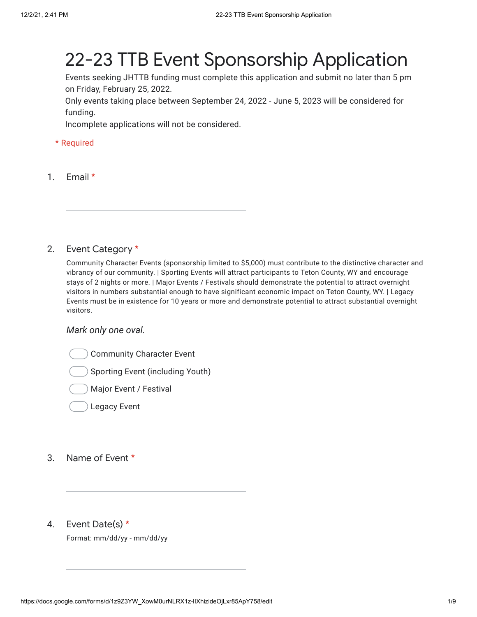# 22-23 TTB Event Sponsorship Application

Events seeking JHTTB funding must complete this application and submit no later than 5 pm on Friday, February 25, 2022.

Only events taking place between September 24, 2022 - June 5, 2023 will be considered for funding.

Incomplete applications will not be considered.

## \* Required

1. Email \*

#### 2. Event Category \*

Community Character Events (sponsorship limited to \$5,000) must contribute to the distinctive character and vibrancy of our community. | Sporting Events will attract participants to Teton County, WY and encourage stays of 2 nights or more. | Major Events / Festivals should demonstrate the potential to attract overnight visitors in numbers substantial enough to have significant economic impact on Teton County, WY. | Legacy Events must be in existence for 10 years or more and demonstrate potential to attract substantial overnight visitors.

## *Mark only one oval.*

Community Character Event

Sporting Event (including Youth)

Major Event / Festival

Legacy Event

- 3. Name of Event \*
- 4. Event Date(s) \*

Format: mm/dd/yy - mm/dd/yy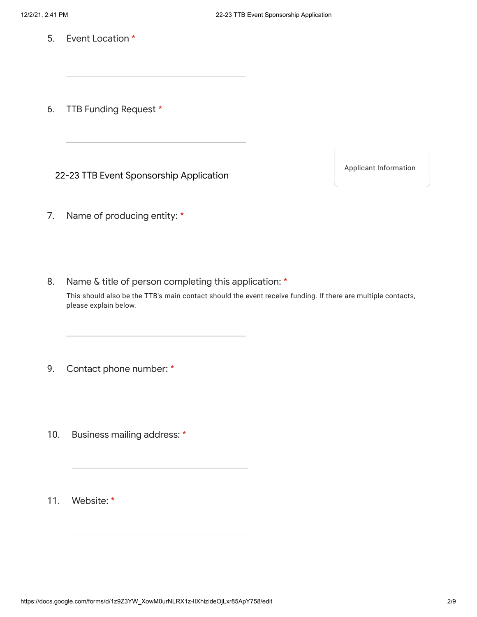5. Event Location \*

6. TTB Funding Request \*

22-23 TTB Event Sponsorship Application

Applicant Information

7. Name of producing entity: \*

8. Name & title of person completing this application: \*

This should also be the TTB's main contact should the event receive funding. If there are multiple contacts, please explain below.

9. Contact phone number: \*

10. Business mailing address: \*

11. Website: \*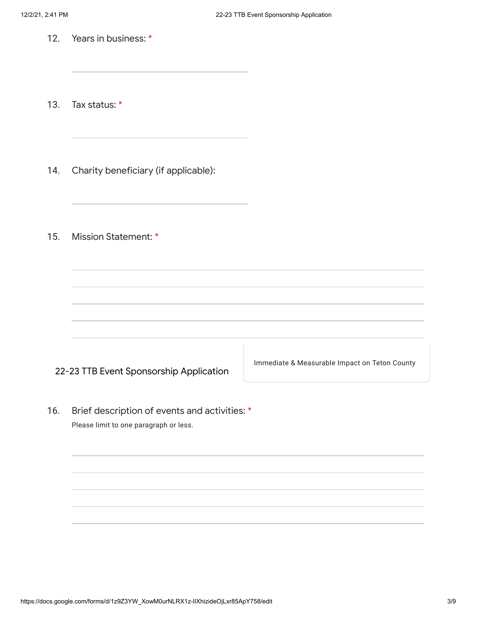12. Years in business: \*

13. Tax status: \*

- 14. Charity beneficiary (if applicable):
- 15. Mission Statement: \*

22-23 TTB Event Sponsorship Application

Immediate & Measurable Impact on Teton County

16. Brief description of events and activities: \* Please limit to one paragraph or less.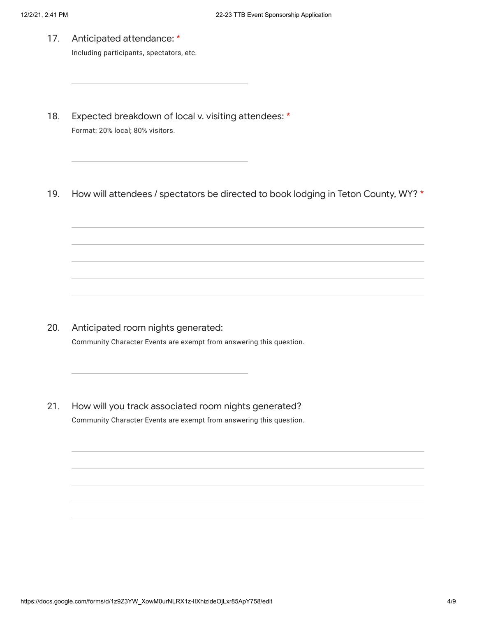17. Anticipated attendance: \*

Including participants, spectators, etc.

- 18. Expected breakdown of local v. visiting attendees: \* Format: 20% local; 80% visitors.
- 19. How will attendees / spectators be directed to book lodging in Teton County, WY? \*

- 20. Anticipated room nights generated: Community Character Events are exempt from answering this question.
- 21. How will you track associated room nights generated? Community Character Events are exempt from answering this question.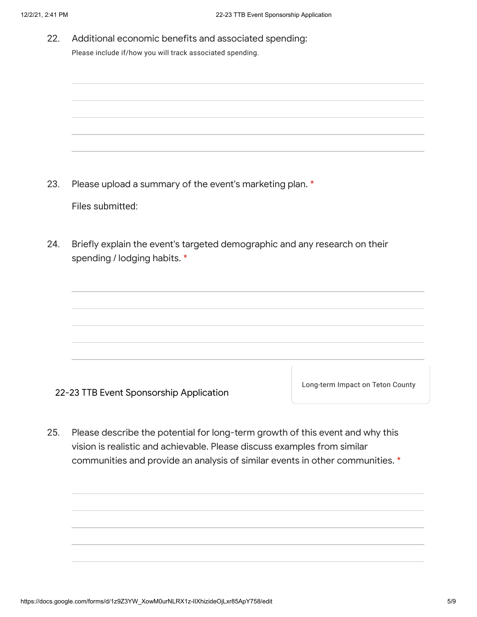22. Additional economic benefits and associated spending: Please include if/how you will track associated spending.

23. Please upload a summary of the event's marketing plan. \*

Files submitted:

24. Briefly explain the event's targeted demographic and any research on their spending / lodging habits. \*



Long-term Impact on Teton County

25. Please describe the potential for long-term growth of this event and why this vision is realistic and achievable. Please discuss examples from similar communities and provide an analysis of similar events in other communities. \*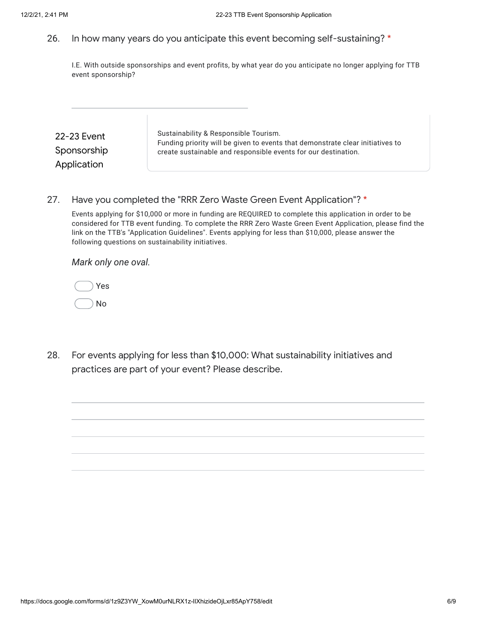## 26. In how many years do you anticipate this event becoming self-sustaining? \*

I.E. With outside sponsorships and event profits, by what year do you anticipate no longer applying for TTB event sponsorship?

| 22-23 Event | Sustainability & Responsible Tourism.<br>Funding priority will be given to events that demonstrate clear initiatives to |
|-------------|-------------------------------------------------------------------------------------------------------------------------|
| Sponsorship | create sustainable and responsible events for our destination.                                                          |
| Application |                                                                                                                         |

## 27. Have you completed the "RRR Zero Waste Green Event Application"? \*

Events applying for \$10,000 or more in funding are REQUIRED to complete this application in order to be considered for TTB event funding. To complete the RRR Zero Waste Green Event Application, please find the link on the TTB's "Application Guidelines". Events applying for less than \$10,000, please answer the following questions on sustainability initiatives.

*Mark only one oval.*

|  | Yes |
|--|-----|
|  | No  |

28. For events applying for less than \$10,000: What sustainability initiatives and practices are part of your event? Please describe.

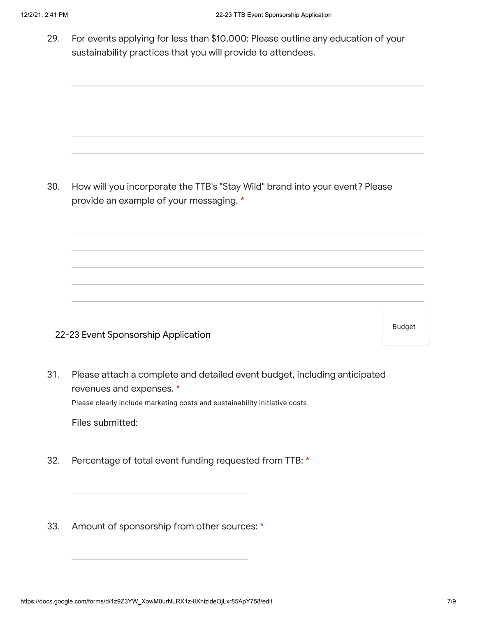29. For events applying for less than \$10,000: Please outline any education of your sustainability practices that you will provide to attendees.

30. How will you incorporate the TTB's "Stay Wild" brand into your event? Please provide an example of your messaging. \*

22-23 Event Sponsorship Application

Budget

31. Please attach a complete and detailed event budget, including anticipated revenues and expenses. \*

Please clearly include marketing costs and sustainability initiative costs.

Files submitted:

- 32. Percentage of total event funding requested from TTB: \*
- 33. Amount of sponsorship from other sources: \*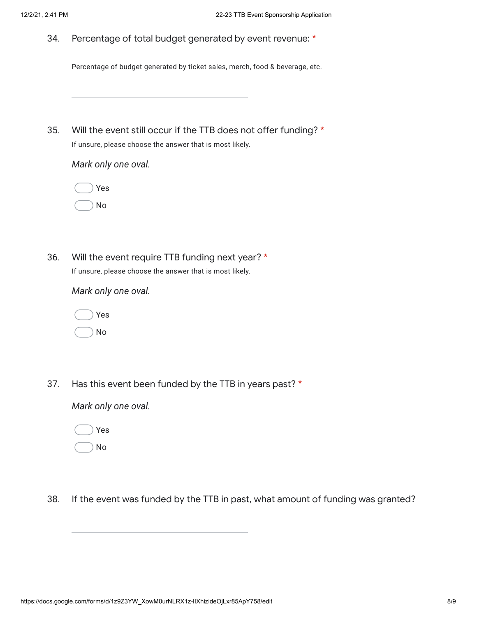34. Percentage of total budget generated by event revenue: \*

Percentage of budget generated by ticket sales, merch, food & beverage, etc.

35. Will the event still occur if the TTB does not offer funding? \* If unsure, please choose the answer that is most likely.

*Mark only one oval.*

|  | Yes |
|--|-----|
|  | N٥  |

36. Will the event require TTB funding next year? \* If unsure, please choose the answer that is most likely.

*Mark only one oval.*



37. Has this event been funded by the TTB in years past? \*

*Mark only one oval.*

No

38. If the event was funded by the TTB in past, what amount of funding was granted?